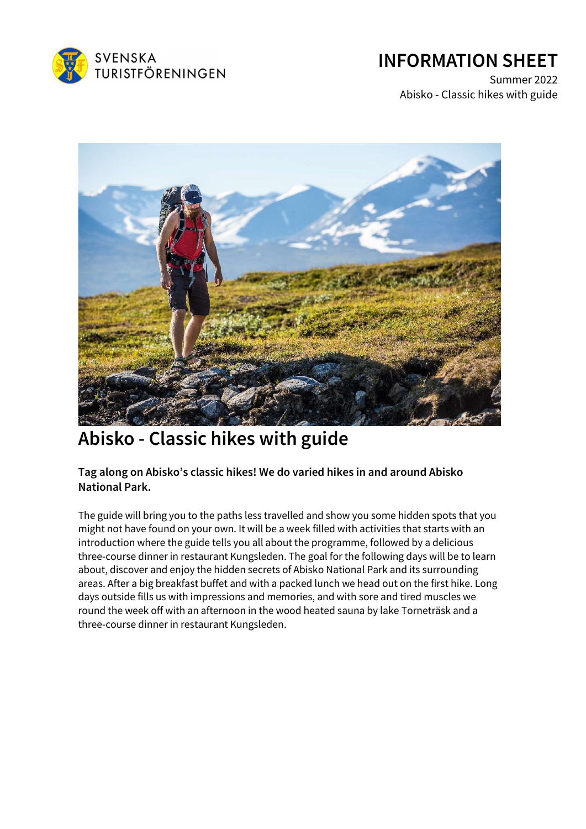

## INFORMATION SHEET

Summer 2022 Abisko - Classic hikes with guide



# Abisko - Classic hikes with guide

Tag along on Abisko's classic hikes! We do varied hikes in and around Abisko National Park.

The guide will bring you to the paths less travelled and show you some hidden spots that you might not have found on your own. It will be a week filled with activities that starts with an introduction where the guide tells you all about the programme, followed by a delicious three-course dinner in restaurant Kungsleden. The goal for the following days will be to learn about, discover and enjoy the hidden secrets of Abisko National Park and its surrounding areas. After a big breakfast buffet and with a packed lunch we head out on the first hike. Long days outside fills us with impressions and memories, and with sore and tired muscles we round the week off with an afternoon in the wood heated sauna by lake Torneträsk and a three-course dinner in restaurant Kungsleden.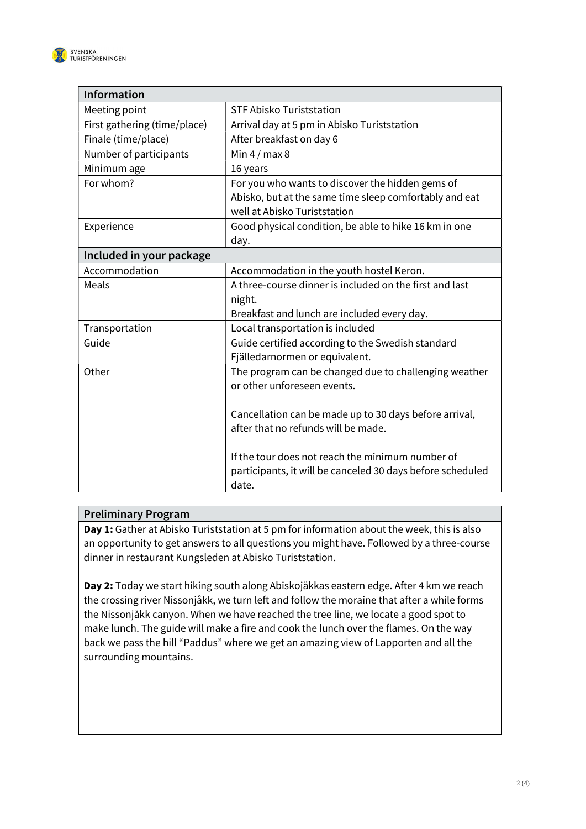

| Information                  |                                                                                        |  |
|------------------------------|----------------------------------------------------------------------------------------|--|
| Meeting point                | <b>STF Abisko Turiststation</b>                                                        |  |
| First gathering (time/place) | Arrival day at 5 pm in Abisko Turiststation                                            |  |
| Finale (time/place)          | After breakfast on day 6                                                               |  |
| Number of participants       | Min $4/max8$                                                                           |  |
| Minimum age                  | 16 years                                                                               |  |
| For whom?                    | For you who wants to discover the hidden gems of                                       |  |
|                              | Abisko, but at the same time sleep comfortably and eat<br>well at Abisko Turiststation |  |
| Experience                   | Good physical condition, be able to hike 16 km in one                                  |  |
|                              | day.                                                                                   |  |
| Included in your package     |                                                                                        |  |
| Accommodation                | Accommodation in the youth hostel Keron.                                               |  |
| Meals                        | A three-course dinner is included on the first and last                                |  |
|                              | night.                                                                                 |  |
|                              | Breakfast and lunch are included every day.                                            |  |
| Transportation               | Local transportation is included                                                       |  |
| Guide                        | Guide certified according to the Swedish standard                                      |  |
|                              | Fjälledarnormen or equivalent.                                                         |  |
| Other                        | The program can be changed due to challenging weather                                  |  |
|                              | or other unforeseen events.                                                            |  |
|                              | Cancellation can be made up to 30 days before arrival,                                 |  |
|                              | after that no refunds will be made.                                                    |  |
|                              |                                                                                        |  |
|                              | If the tour does not reach the minimum number of                                       |  |
|                              | participants, it will be canceled 30 days before scheduled                             |  |
|                              | date.                                                                                  |  |

### Preliminary Program

Day 1: Gather at Abisko Turiststation at 5 pm for information about the week, this is also an opportunity to get answers to all questions you might have. Followed by a three-course dinner in restaurant Kungsleden at Abisko Turiststation.

Day 2: Today we start hiking south along Abiskojåkkas eastern edge. After 4 km we reach the crossing river Nissonjåkk, we turn left and follow the moraine that after a while forms the Nissonjåkk canyon. When we have reached the tree line, we locate a good spot to make lunch. The guide will make a fire and cook the lunch over the flames. On the way back we pass the hill "Paddus" where we get an amazing view of Lapporten and all the surrounding mountains.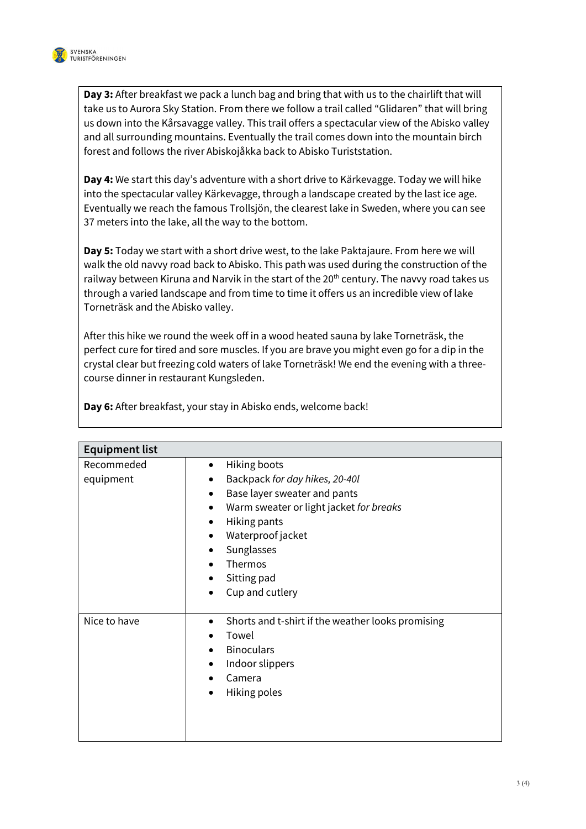

Day 3: After breakfast we pack a lunch bag and bring that with us to the chairlift that will take us to Aurora Sky Station. From there we follow a trail called "Glidaren" that will bring us down into the Kårsavagge valley. This trail offers a spectacular view of the Abisko valley and all surrounding mountains. Eventually the trail comes down into the mountain birch forest and follows the river Abiskojåkka back to Abisko Turiststation.

Day 4: We start this day's adventure with a short drive to Kärkevagge. Today we will hike into the spectacular valley Kärkevagge, through a landscape created by the last ice age. Eventually we reach the famous Trollsjön, the clearest lake in Sweden, where you can see 37 meters into the lake, all the way to the bottom.

Day 5: Today we start with a short drive west, to the lake Paktajaure. From here we will walk the old navvy road back to Abisko. This path was used during the construction of the railway between Kiruna and Narvik in the start of the  $20<sup>th</sup>$  century. The navvy road takes us through a varied landscape and from time to time it offers us an incredible view of lake Torneträsk and the Abisko valley.

After this hike we round the week off in a wood heated sauna by lake Torneträsk, the perfect cure for tired and sore muscles. If you are brave you might even go for a dip in the crystal clear but freezing cold waters of lake Torneträsk! We end the evening with a threecourse dinner in restaurant Kungsleden.

| <b>Equipment list</b> |                                                                |  |
|-----------------------|----------------------------------------------------------------|--|
| Recommeded            | Hiking boots<br>٠                                              |  |
| equipment             | Backpack for day hikes, 20-40l<br>$\bullet$                    |  |
|                       | Base layer sweater and pants<br>٠                              |  |
|                       | Warm sweater or light jacket for breaks<br>٠                   |  |
|                       | Hiking pants<br>$\bullet$                                      |  |
|                       | Waterproof jacket<br>٠                                         |  |
|                       | Sunglasses                                                     |  |
|                       | Thermos                                                        |  |
|                       | Sitting pad                                                    |  |
|                       | Cup and cutlery<br>$\bullet$                                   |  |
|                       |                                                                |  |
| Nice to have          | Shorts and t-shirt if the weather looks promising<br>$\bullet$ |  |
|                       | Towel                                                          |  |
|                       | <b>Binoculars</b>                                              |  |
|                       | Indoor slippers                                                |  |
|                       | Camera                                                         |  |
|                       | Hiking poles<br>$\bullet$                                      |  |
|                       |                                                                |  |
|                       |                                                                |  |
|                       |                                                                |  |

Day 6: After breakfast, your stay in Abisko ends, welcome back!